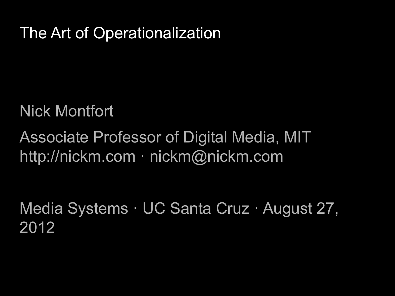## The Art of Operationalization

### Nick Montfort

# Associate Professor of Digital Media, MIT http://nickm.com · nickm@nickm.com

Media Systems · UC Santa Cruz · August 27, 2012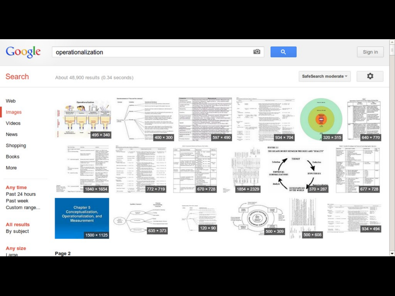| Google                                                        | гŌ<br>$\alpha$<br>operationalization<br>Sign in                                                                                                                                                                                                                                                                                                                                                                                                                                                                                                                                                                                                                                                                                                                                                                                                                                                                                                                                                                                                                                                                                                                                                                                                                                                                                                                                            |
|---------------------------------------------------------------|--------------------------------------------------------------------------------------------------------------------------------------------------------------------------------------------------------------------------------------------------------------------------------------------------------------------------------------------------------------------------------------------------------------------------------------------------------------------------------------------------------------------------------------------------------------------------------------------------------------------------------------------------------------------------------------------------------------------------------------------------------------------------------------------------------------------------------------------------------------------------------------------------------------------------------------------------------------------------------------------------------------------------------------------------------------------------------------------------------------------------------------------------------------------------------------------------------------------------------------------------------------------------------------------------------------------------------------------------------------------------------------------|
| Search                                                        | ۰<br>SafeSearch moderate v<br>About 48,900 results (0.34 seconds)                                                                                                                                                                                                                                                                                                                                                                                                                                                                                                                                                                                                                                                                                                                                                                                                                                                                                                                                                                                                                                                                                                                                                                                                                                                                                                                          |
| Web<br>Images<br>Videos<br><b>News</b>                        | <b>Associate These and Fast clustering?</b><br>$\frac{1}{\sqrt{2}}$ =<br>Oswratianalization<br><b>NEW PER</b><br><b>Sprintformal Cheficilities</b><br>a promptly auto The time impression.<br>$1.154 - 3$<br><b>ALL OR THINGS IN THE EXPERIMENT PRODUCTION</b><br>in.<br><b>WEIGHT</b><br><b>Banco</b><br><b>SALES</b><br><b>ASSIMILIA (MARK AND TALIST)</b><br><b>CREW SPORT</b><br>uita<br>Those impor-<br><b>DESIGNATI</b><br>$\Xi^-$<br><b>January</b><br><b>STARRA</b><br>ij<br>$rac{1}{2}$<br>tay anti<br>Indonesi<br>ngen<br>Commercial Co.<br>proprietary and control<br>$\label{eq:1} \frac{\omega_{\text{max}}}{\omega_{\text{min}}}\frac{\omega_{\text{max}}}{\omega_{\text{min}}}\frac{\omega_{\text{max}}}{\omega_{\text{min}}}\frac{\omega_{\text{max}}}{\omega_{\text{max}}}\frac{\omega_{\text{max}}}{\omega_{\text{max}}}\frac{\omega_{\text{max}}}{\omega_{\text{max}}}\frac{\omega_{\text{max}}}{\omega_{\text{max}}}\frac{\omega_{\text{max}}}{\omega_{\text{max}}}\frac{\omega_{\text{max}}}{\omega_{\text{max}}}\frac{\omega_{\text{max}}}{\omega_{\text{max}}}\frac{\omega_{\text{max}}}{\omega_{\text{max}}}\frac{\omega$<br><b><i><u>Schulter Brand</u></i></b><br><b>REPORT</b><br>tiens:<br><b>NA MANI</b><br>張田<br>495 × 340<br><b>Michelle Avenue &amp; Max</b><br>320 × 315<br>400 × 300<br>934 × 704<br>640 × 770<br>597 × 490<br>$\frac{1-\alpha}{\alpha}$ |
| Shopping<br><b>Books</b><br>More<br>Any time<br>Past 24 hours | <b>District</b><br><b>FIGURE 2.1</b><br><b>MARCH</b><br>All Corp.<br>Scott of the State Street East<br>Activity,<br>曲<br>THE KELATION HIT SETWEEN THEORIES AND "KEALITY"<br><b>STATISTICS</b><br>ESCO.<br><b>Lines</b><br><b>SUZULU</b><br><b>TOULO</b><br><b>Bank Mi orang</b><br>$+$ $+$<br><b>Bridge Art Ave</b><br>$rac{1}{2}$<br>ante altra pe<br>TEXORY<br>10 Assessment Avenue in Antonio Archive<br><b>MAGIN</b><br><b>NH II</b> +10<br><b>FUEL RUSSIAN</b><br><b>State State</b><br><b>Zederlien</b><br><b>STATISTICS</b><br>printed and<br>25.<br><b>Rendell</b> And<br><b>CONTRACTOR</b><br><b>COLLANS</b><br><b>TERRITA</b><br><b>SEPRETS</b><br><b>State</b><br>$\begin{array}{l} 1.443 \times 0 \\ 0.4799 \end{array}$<br>$\begin{array}{l} 0.017388879 \\ 0.12388998 \end{array}$<br>EMPIRICAL<br>Ę<br><b>STPOTELSES</b><br><b>GENERALIZATIONS</b><br><b>CONTRACTOR</b><br>NUMBER<br>-<br>49-14039-1-120-2<br><b>CALLA</b><br><b>STATE</b><br><b>SOLU</b><br><b>CALLS</b><br><b>ASSAULT</b><br><b>Analysis</b><br>Seattle Modern Car<br><b>SHOW</b><br>$\begin{array}{l} 1.583 \pm 0.06 \\ 1.483 \pm 0.06 \\ \end{array}$<br><b>STATISTICS</b><br><b>BELLYANINE 370 × 287</b><br>1840 × 1654<br>670 × 728<br>1854 × 2329<br>677 × 728<br><b>Ballion Frank</b><br>772 × 719<br><b>STARK</b><br><b>All Links</b><br>regulated                                                 |
| Past week<br>Custom range<br><b>All results</b><br>By subject | <b><i>Senite's Counce</i></b><br>÷<br>Chapter 5<br>$\frac{\sigma_{\rm FDM}}{\sigma_{\rm FDM}}$<br>1000<br>Y.<br>Conceptualization,<br>$-2000$<br>w<br><b>UNITED TOP</b><br>E.<br>Operationalization, and<br>Will cover<br>盥<br>on, bain<br><b>RENATIVE</b><br><b>Concert Contract</b><br>in. mar.<br>$\equiv$<br>Measurement<br><b>SERVICORS</b><br>an III<br>money, replies<br><b>fallecies</b><br>$120 \times 90$<br>$934 \times 494$<br>tions, ren<br>635 × 373<br>$500 \times 309$<br>61 L<br>$500 \times 608$<br>1500 × 1125<br>沾                                                                                                                                                                                                                                                                                                                                                                                                                                                                                                                                                                                                                                                                                                                                                                                                                                                     |
| Any size<br>Large                                             | Page 2                                                                                                                                                                                                                                                                                                                                                                                                                                                                                                                                                                                                                                                                                                                                                                                                                                                                                                                                                                                                                                                                                                                                                                                                                                                                                                                                                                                     |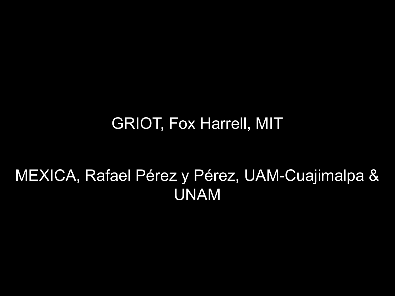### GRIOT, Fox Harrell, MIT

# MEXICA, Rafael Pérez y Pérez, UAM-Cuajimalpa & UNAM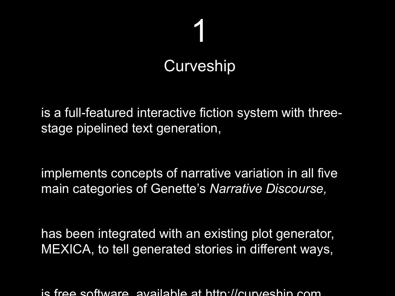# 1 **Curveship**

is a full-featured interactive fiction system with threestage pipelined text generation,

implements concepts of narrative variation in all five main categories of Genette's *Narrative Discourse,*

has been integrated with an existing plot generator, MEXICA, to tell generated stories in different ways,

is free software, available at http://curveship.com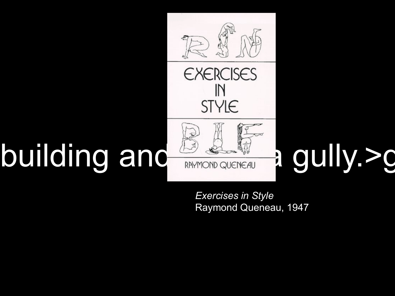

*Exercises in Style* Raymond Queneau, 1947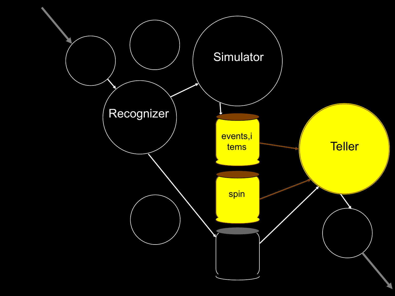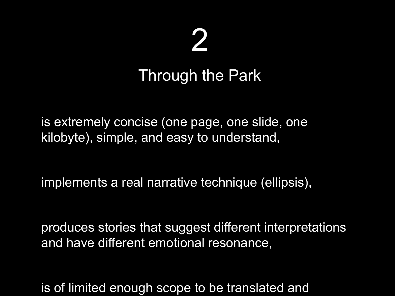# 2

### Through the Park

is extremely concise (one page, one slide, one kilobyte), simple, and easy to understand,

implements a real narrative technique (ellipsis),

produces stories that suggest different interpretations and have different emotional resonance,

is of limited enough scope to be translated and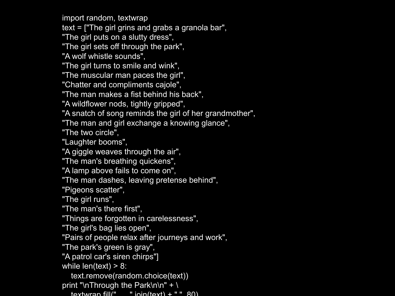import random, textwrap

text = ["The girl grins and grabs a granola bar",

"The girl puts on a slutty dress",

"The girl sets off through the park",

"A wolf whistle sounds",

"The girl turns to smile and wink",

"The muscular man paces the girl",

"Chatter and compliments cajole",

"The man makes a fist behind his back",

"A wildflower nods, tightly gripped",

"A snatch of song reminds the girl of her grandmother",

"The man and girl exchange a knowing glance",

"The two circle",

"Laughter booms",

"A giggle weaves through the air",

"The man's breathing quickens",

"A lamp above fails to come on",

"The man dashes, leaving pretense behind",

"Pigeons scatter",

"The girl runs",

"The man's there first",

"Things are forgotten in carelessness",

"The girl's bag lies open",

"Pairs of people relax after journeys and work",

"The park's green is gray",

"A patrol car's siren chirps"]

while  $len(text) > 8$ :

text.remove(random.choice(text))

print "\nThrough the Park\n\n" + \

 $t$ extwran fill(" "ioin( $t$ ext) + "", 80)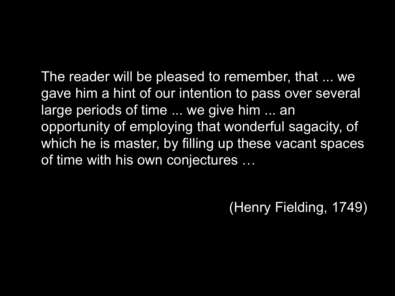The reader will be pleased to remember, that ... we gave him a hint of our intention to pass over several large periods of time ... we give him ... an opportunity of employing that wonderful sagacity, of which he is master, by filling up these vacant spaces of time with his own conjectures …

(Henry Fielding, 1749)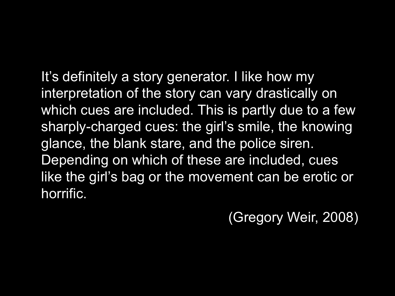It's definitely a story generator. I like how my interpretation of the story can vary drastically on which cues are included. This is partly due to a few sharply-charged cues: the girl's smile, the knowing glance, the blank stare, and the police siren. Depending on which of these are included, cues like the girl's bag or the movement can be erotic or horrific.

(Gregory Weir, 2008)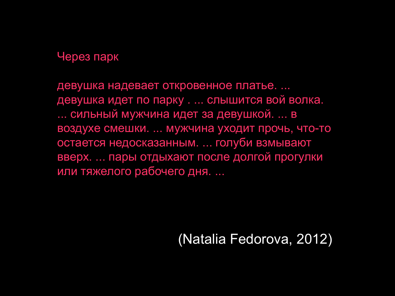### Через парк

девушка надевает откровенное платье. ... девушка идет по парку . ... слышится вой волка. ... сильный мужчина идет за девушкой. ... в воздухе смешки. ... мужчина уходит прочь, что-то остается недосказанным. ... голуби взмывают вверх. ... пары отдыхают после долгой прогулки или тяжелого рабочего дня. ...

### (Natalia Fedorova, 2012)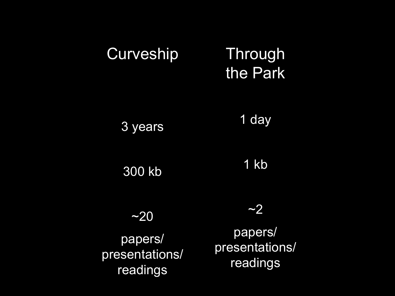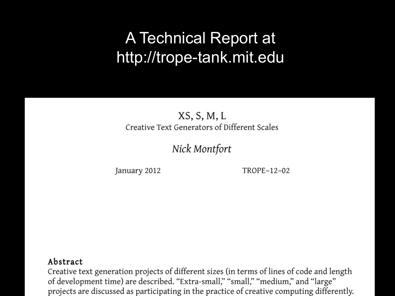## A Technical Report at http://trope-tank.mit.edu

### $XS, S, M, L$ Creative Text Generators of Different Scales

### Nick Montfort

January 2012

TROPE-12-02

### Abstract

Creative text generation projects of different sizes (in terms of lines of code and length of development time) are described. "Extra-small," "small," "medium," and "large" projects are discussed as participating in the practice of creative computing differently.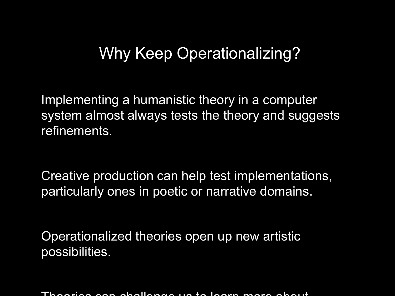### Why Keep Operationalizing?

Implementing a humanistic theory in a computer system almost always tests the theory and suggests refinements.

Creative production can help test implementations, particularly ones in poetic or narrative domains.

Operationalized theories open up new artistic possibilities.

Theories can challenge us to learn more about